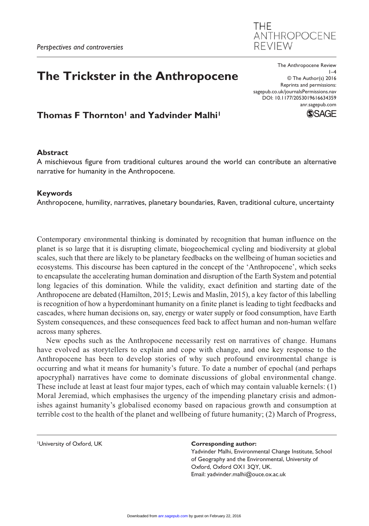

# **The Trickster in the Anthropocene**

The Anthropocene Review  $1–4$ © The Author(s) 2016 Reprints and permissions: sagepub.co.uk/journalsPermissions.nav DOI: 10.1177/2053019616634359 anr.sagepub.com



# **Thomas F Thornton<sup>1</sup> and Yadvinder Malhi<sup>1</sup>**

## **Abstract**

A mischievous figure from traditional cultures around the world can contribute an alternative narrative for humanity in the Anthropocene.

## **Keywords**

Anthropocene, humility, narratives, planetary boundaries, Raven, traditional culture, uncertainty

Contemporary environmental thinking is dominated by recognition that human influence on the planet is so large that it is disrupting climate, biogeochemical cycling and biodiversity at global scales, such that there are likely to be planetary feedbacks on the wellbeing of human societies and ecosystems. This discourse has been captured in the concept of the 'Anthropocene', which seeks to encapsulate the accelerating human domination and disruption of the Earth System and potential long legacies of this domination. While the validity, exact definition and starting date of the Anthropocene are debated (Hamilton, 2015; Lewis and Maslin, 2015), a key factor of this labelling is recognition of how a hyperdominant humanity on a finite planet is leading to tight feedbacks and cascades, where human decisions on, say, energy or water supply or food consumption, have Earth System consequences, and these consequences feed back to affect human and non-human welfare across many spheres.

New epochs such as the Anthropocene necessarily rest on narratives of change. Humans have evolved as storytellers to explain and cope with change, and one key response to the Anthropocene has been to develop stories of why such profound environmental change is occurring and what it means for humanity's future. To date a number of epochal (and perhaps apocryphal) narratives have come to dominate discussions of global environmental change. These include at least at least four major types, each of which may contain valuable kernels: (1) Moral Jeremiad, which emphasises the urgency of the impending planetary crisis and admonishes against humanity's globalised economy based on rapacious growth and consumption at terrible cost to the health of the planet and wellbeing of future humanity; (2) March of Progress,

#### <sup>1</sup>University of Oxford, UK **Corresponding author:**

Yadvinder Malhi, Environmental Change Institute, School of Geography and the Environmental, University of Oxford, Oxford OX1 3QY, UK. Email: [yadvinder.malhi@ouce.ox.ac.uk](mailto:yadvinder.malhi@ouce.ox.ac.uk)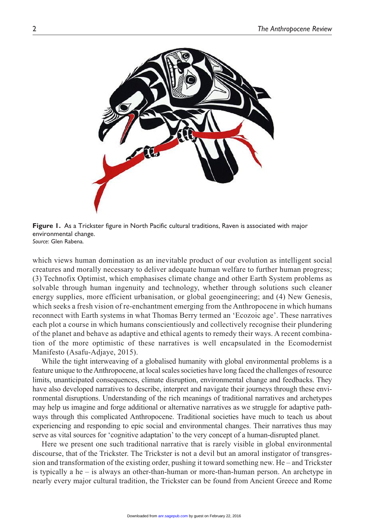

**Figure 1.** As a Trickster figure in North Pacific cultural traditions, Raven is associated with major environmental change. *Source*: Glen Rabena.

which views human domination as an inevitable product of our evolution as intelligent social creatures and morally necessary to deliver adequate human welfare to further human progress; (3) Technofix Optimist, which emphasises climate change and other Earth System problems as solvable through human ingenuity and technology, whether through solutions such cleaner energy supplies, more efficient urbanisation, or global geoengineering; and (4) New Genesis, which seeks a fresh vision of re-enchantment emerging from the Anthropocene in which humans reconnect with Earth systems in what Thomas Berry termed an 'Ecozoic age'. These narratives each plot a course in which humans conscientiously and collectively recognise their plundering of the planet and behave as adaptive and ethical agents to remedy their ways. A recent combination of the more optimistic of these narratives is well encapsulated in the Ecomodernist Manifesto (Asafu-Adjaye, 2015).

While the tight interweaving of a globalised humanity with global environmental problems is a feature unique to the Anthropocene, at local scales societies have long faced the challenges of resource limits, unanticipated consequences, climate disruption, environmental change and feedbacks. They have also developed narratives to describe, interpret and navigate their journeys through these environmental disruptions. Understanding of the rich meanings of traditional narratives and archetypes may help us imagine and forge additional or alternative narratives as we struggle for adaptive pathways through this complicated Anthropocene. Traditional societies have much to teach us about experiencing and responding to epic social and environmental changes. Their narratives thus may serve as vital sources for 'cognitive adaptation' to the very concept of a human-disrupted planet.

Here we present one such traditional narrative that is rarely visible in global environmental discourse, that of the Trickster. The Trickster is not a devil but an amoral instigator of transgression and transformation of the existing order, pushing it toward something new. He – and Trickster is typically a he – is always an other-than-human or more-than-human person. An archetype in nearly every major cultural tradition, the Trickster can be found from Ancient Greece and Rome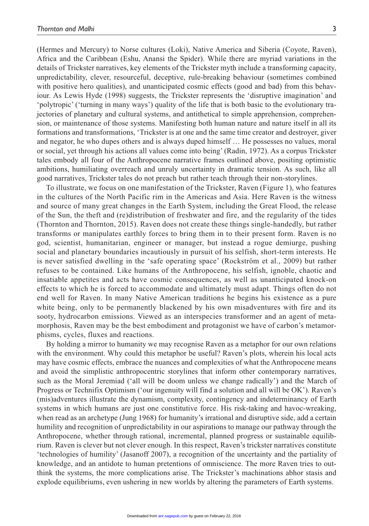(Hermes and Mercury) to Norse cultures (Loki), Native America and Siberia (Coyote, Raven), Africa and the Caribbean (Eshu, Anansi the Spider). While there are myriad variations in the details of Trickster narratives, key elements of the Trickster myth include a transforming capacity, unpredictability, clever, resourceful, deceptive, rule-breaking behaviour (sometimes combined with positive hero qualities), and unanticipated cosmic effects (good and bad) from this behaviour. As Lewis Hyde (1998) suggests, the Trickster represents the 'disruptive imagination' and 'polytropic' ('turning in many ways') quality of the life that is both basic to the evolutionary trajectories of planetary and cultural systems, and antithetical to simple apprehension, comprehension, or maintenance of those systems. Manifesting both human nature and nature itself in all its formations and transformations, 'Trickster is at one and the same time creator and destroyer, giver and negator, he who dupes others and is always duped himself … He possesses no values, moral or social, yet through his actions all values come into being' (Radin, 1972). As a corpus Trickster tales embody all four of the Anthropocene narrative frames outlined above, positing optimistic ambitions, humiliating overreach and unruly uncertainty in dramatic tension. As such, like all good narratives, Trickster tales do not preach but rather teach through their non-storylines.

To illustrate, we focus on one manifestation of the Trickster, Raven (Figure 1), who features in the cultures of the North Pacific rim in the Americas and Asia. Here Raven is the witness and source of many great changes in the Earth System, including the Great Flood, the release of the Sun, the theft and (re)distribution of freshwater and fire, and the regularity of the tides (Thornton and Thornton, 2015). Raven does not create these things single-handedly, but rather transforms or manipulates earthly forces to bring them in to their present form. Raven is no god, scientist, humanitarian, engineer or manager, but instead a rogue demiurge, pushing social and planetary boundaries incautiously in pursuit of his selfish, short-term interests. He is never satisfied dwelling in the 'safe operating space' (Rockström et al., 2009) but rather refuses to be contained. Like humans of the Anthropocene, his selfish, ignoble, chaotic and insatiable appetites and acts have cosmic consequences, as well as unanticipated knock-on effects to which he is forced to accommodate and ultimately must adapt. Things often do not end well for Raven. In many Native American traditions he begins his existence as a pure white being, only to be permanently blackened by his own misadventures with fire and its sooty, hydrocarbon emissions. Viewed as an interspecies transformer and an agent of metamorphosis, Raven may be the best embodiment and protagonist we have of carbon's metamorphisms, cycles, fluxes and reactions.

By holding a mirror to humanity we may recognise Raven as a metaphor for our own relations with the environment. Why could this metaphor be useful? Raven's plots, wherein his local acts may have cosmic effects, embrace the nuances and complexities of what the Anthropocene means and avoid the simplistic anthropocentric storylines that inform other contemporary narratives, such as the Moral Jeremiad ('all will be doom unless we change radically') and the March of Progress or Technifix Optimism ('our ingenuity will find a solution and all will be OK'). Raven's (mis)adventures illustrate the dynamism, complexity, contingency and indeterminancy of Earth systems in which humans are just one constitutive force. His risk-taking and havoc-wreaking, when read as an archetype (Jung 1968) for humanity's irrational and disruptive side, add a certain humility and recognition of unpredictability in our aspirations to manage our pathway through the Anthropocene, whether through rational, incremental, planned progress or sustainable equilibrium. Raven is clever but not clever enough. In this respect, Raven's trickster narratives constitute 'technologies of humility' (Jasanoff 2007), a recognition of the uncertainty and the partiality of knowledge, and an antidote to human pretentions of omniscience. The more Raven tries to outthink the systems, the more complications arise. The Trickster's machinations abhor stasis and explode equilibriums, even ushering in new worlds by altering the parameters of Earth systems.